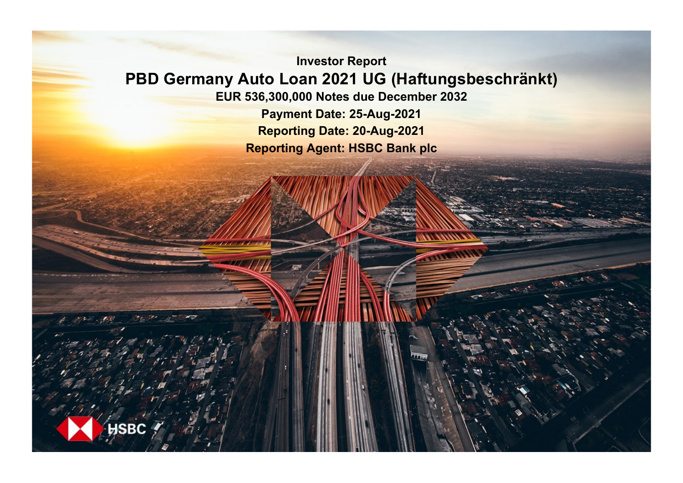**Investor Report PBD Germany Auto Loan 2021 UG (Haftungsbeschränkt) EUR 536,300,000 Notes due December 2032 Payment Date: 25-Aug-2021 Reporting Date: 20-Aug-2021**

**Reporting Agent: HSBC Bank plc**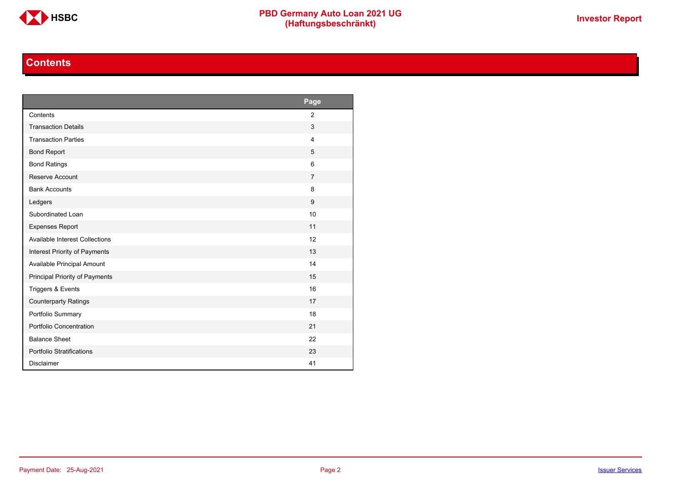

# **Contents**

<span id="page-1-0"></span>

|                                       | Page           |
|---------------------------------------|----------------|
| Contents                              | $\overline{2}$ |
| <b>Transaction Details</b>            | 3              |
| <b>Transaction Parties</b>            | $\overline{4}$ |
| <b>Bond Report</b>                    | 5              |
| <b>Bond Ratings</b>                   | 6              |
| Reserve Account                       | $\overline{7}$ |
| <b>Bank Accounts</b>                  | 8              |
| Ledgers                               | 9              |
| Subordinated Loan                     | 10             |
| <b>Expenses Report</b>                | 11             |
| <b>Available Interest Collections</b> | 12             |
| Interest Priority of Payments         | 13             |
| Available Principal Amount            | 14             |
| Principal Priority of Payments        | 15             |
| Triggers & Events                     | 16             |
| <b>Counterparty Ratings</b>           | 17             |
| Portfolio Summary                     | 18             |
| Portfolio Concentration               | 21             |
| <b>Balance Sheet</b>                  | 22             |
| Portfolio Stratifications             | 23             |
| <b>Disclaimer</b>                     | 41             |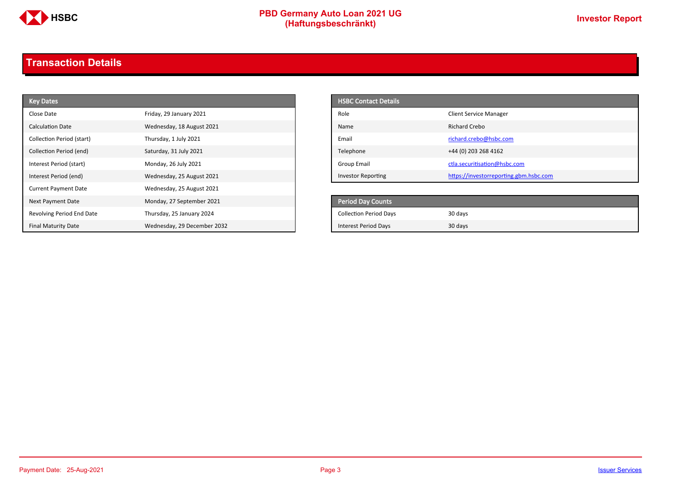

# **PBD Germany Auto Loan 2021 UG**<br>
(Haftungsbeschränkt)<br>
This area of the CHSD CHA (Haftungsbeschränkt)

# <span id="page-2-0"></span>**Transaction Details**

| <b>Key Dates</b>            |                             | <b>HSBC Contact Details</b>   |                                        |
|-----------------------------|-----------------------------|-------------------------------|----------------------------------------|
| Close Date                  | Friday, 29 January 2021     | Role                          | <b>Client Service Manager</b>          |
| <b>Calculation Date</b>     | Wednesday, 18 August 2021   | Name                          | <b>Richard Crebo</b>                   |
| Collection Period (start)   | Thursday, 1 July 2021       | Email                         | richard.crebo@hsbc.com                 |
| Collection Period (end)     | Saturday, 31 July 2021      | Telephone                     | +44 (0) 203 268 4162                   |
| Interest Period (start)     | Monday, 26 July 2021        | <b>Group Email</b>            | ctla.securitisation@hsbc.com           |
| Interest Period (end)       | Wednesday, 25 August 2021   | <b>Investor Reporting</b>     | https://investorreporting.gbm.hsbc.com |
| <b>Current Payment Date</b> | Wednesday, 25 August 2021   |                               |                                        |
| Next Payment Date           | Monday, 27 September 2021   | Period Day Counts             |                                        |
| Revolving Period End Date   | Thursday, 25 January 2024   | <b>Collection Period Days</b> | 30 days                                |
| <b>Final Maturity Date</b>  | Wednesday, 29 December 2032 | Interest Period Days          | 30 days                                |

| <b>HSBC Contact Details</b> |                                        |
|-----------------------------|----------------------------------------|
| Role                        | <b>Client Service Manager</b>          |
| Name                        | Richard Crebo                          |
| Email                       | richard.crebo@hsbc.com                 |
| Telephone                   | +44 (0) 203 268 4162                   |
| Group Email                 | ctla.securitisation@hsbc.com           |
| <b>Investor Reporting</b>   | https://investorreporting.gbm.hsbc.com |

| <b>Period Day Counts</b>      |         |
|-------------------------------|---------|
| <b>Collection Period Days</b> | 30 days |
| <b>Interest Period Days</b>   | 30 days |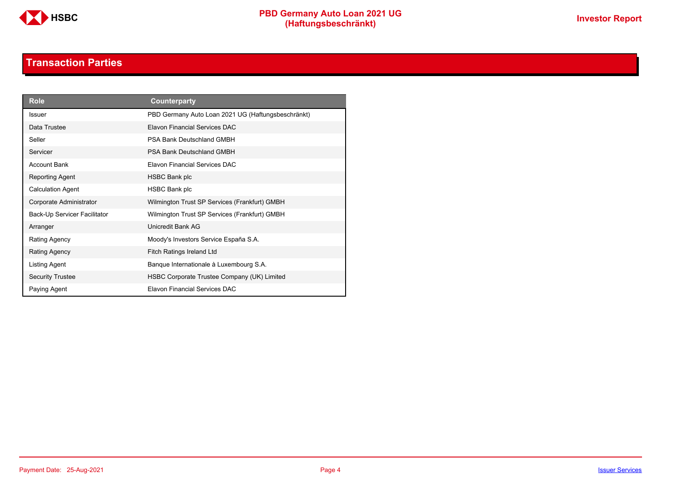

# **Transaction Parties**

<span id="page-3-0"></span>

| <b>Role</b>                  | Counterparty                                       |
|------------------------------|----------------------------------------------------|
| <b>Issuer</b>                | PBD Germany Auto Loan 2021 UG (Haftungsbeschränkt) |
| Data Trustee                 | Elavon Financial Services DAC                      |
| Seller                       | <b>PSA Bank Deutschland GMBH</b>                   |
| Servicer                     | <b>PSA Bank Deutschland GMBH</b>                   |
| <b>Account Bank</b>          | <b>Flavon Financial Services DAC</b>               |
| Reporting Agent              | <b>HSBC Bank plc</b>                               |
| <b>Calculation Agent</b>     | HSBC Bank plc                                      |
| Corporate Administrator      | Wilmington Trust SP Services (Frankfurt) GMBH      |
| Back-Up Servicer Facilitator | Wilmington Trust SP Services (Frankfurt) GMBH      |
| Arranger                     | Unicredit Bank AG                                  |
| Rating Agency                | Moody's Investors Service España S.A.              |
| <b>Rating Agency</b>         | <b>Fitch Ratings Ireland Ltd</b>                   |
| Listing Agent                | Banque Internationale à Luxembourg S.A.            |
| <b>Security Trustee</b>      | HSBC Corporate Trustee Company (UK) Limited        |
| Paying Agent                 | <b>Flavon Financial Services DAC</b>               |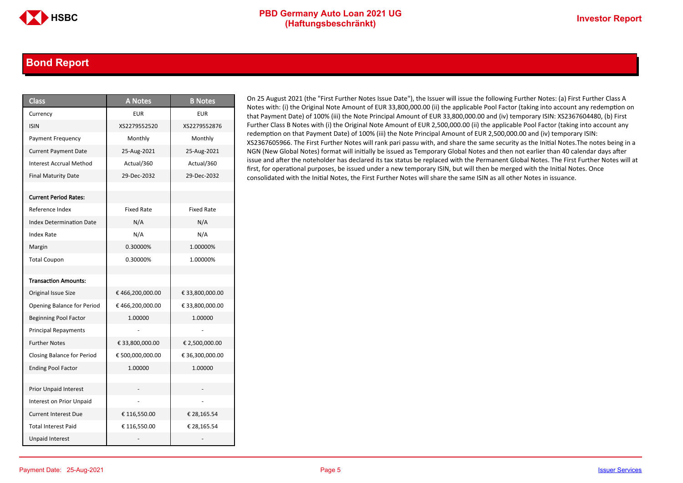### <span id="page-4-0"></span>**Bond Report**

| <b>Class</b>                      | <b>A Notes</b>    | <b>B</b> Notes    |
|-----------------------------------|-------------------|-------------------|
| Currency                          | <b>EUR</b>        | <b>EUR</b>        |
| <b>ISIN</b>                       | XS2279552520      | XS2279552876      |
| <b>Payment Frequency</b>          | Monthly           | Monthly           |
| <b>Current Payment Date</b>       | 25-Aug-2021       | 25-Aug-2021       |
| <b>Interest Accrual Method</b>    | Actual/360        | Actual/360        |
| <b>Final Maturity Date</b>        | 29-Dec-2032       | 29-Dec-2032       |
|                                   |                   |                   |
| <b>Current Period Rates:</b>      |                   |                   |
| Reference Index                   | <b>Fixed Rate</b> | <b>Fixed Rate</b> |
| <b>Index Determination Date</b>   | N/A               | N/A               |
| Index Rate                        | N/A               | N/A               |
| Margin                            | 0.30000%          | 1.00000%          |
| <b>Total Coupon</b>               | 0.30000%          | 1.00000%          |
|                                   |                   |                   |
| <b>Transaction Amounts:</b>       |                   |                   |
| Original Issue Size               | € 466,200,000.00  | € 33,800,000.00   |
| Opening Balance for Period        | €466,200,000.00   | € 33,800,000.00   |
| <b>Beginning Pool Factor</b>      | 1.00000           | 1.00000           |
| <b>Principal Repayments</b>       |                   |                   |
| <b>Further Notes</b>              | € 33,800,000.00   | € 2,500,000.00    |
| <b>Closing Balance for Period</b> | € 500,000,000.00  | € 36,300,000.00   |
| <b>Ending Pool Factor</b>         | 1.00000           | 1.00000           |
|                                   |                   |                   |
| <b>Prior Unpaid Interest</b>      |                   |                   |
| Interest on Prior Unpaid          |                   |                   |
| <b>Current Interest Due</b>       | € 116,550.00      | € 28,165.54       |
| <b>Total Interest Paid</b>        | € 116,550.00      | € 28,165.54       |
| <b>Unpaid Interest</b>            |                   |                   |

On 25 August 2021 (the "First Further Notes Issue Date"), the Issuer will issue the following Further Notes: (a) First Further Class A Notes with: (i) the Original Note Amount of EUR 33,800,000.00 (ii) the applicable Pool Factor (taking into account any redemption on that Payment Date) of 100% (iii) the Note Principal Amount of EUR 33,800,000.00 and (iv) temporary ISIN: XS2367604480, (b) First Further Class B Notes with (i) the Original Note Amount of EUR 2,500,000.00 (ii) the applicable Pool Factor (taking into account any redemption on that Payment Date) of 100% (iii) the Note Principal Amount of EUR 2,500,000.00 and (iv) temporary ISIN: XS2367605966. The First Further Notes will rank pari passu with, and share the same security as the Initial Notes.The notes being in a NGN (New Global Notes) format will initially be issued as Temporary Global Notes and then not earlier than 40 calendar days after issue and after the noteholder has declared its tax status be replaced with the Permanent Global Notes. The First Further Notes will at first, for operational purposes, be issued under a new temporary ISIN, but will then be merged with the Initial Notes. Once consolidated with the Initial Notes, the First Further Notes will share the same ISIN as all other Notes in issuance.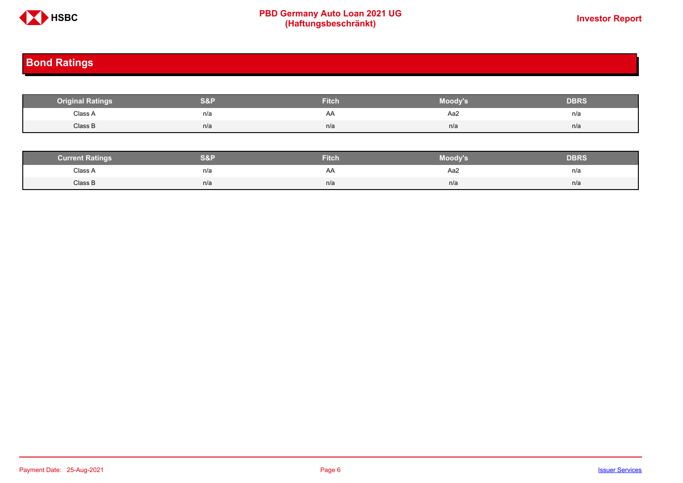

# **PBD Germany Auto Loan 2021 UG**<br>
(Haftungsbeschränkt)<br>
This area of the CHSD CHA (Haftungsbeschränkt)

# <span id="page-5-0"></span>**Bond Ratings**

| <b>Original Ratings</b> | S&F | <b>Fitch</b> | Moody's | <b>DBRS</b> |
|-------------------------|-----|--------------|---------|-------------|
| Class A<br>.            | n/a | AA           | Aa2     | n/a         |
| Class B                 | n/a | n/a          | n/a     | n/a         |

| <b><i>Surrent Ratings</i></b> | 0.91<br>>I≏∃i | <b>Fitch</b> | Moody's | DERS. |
|-------------------------------|---------------|--------------|---------|-------|
| Class A<br>.                  | n/a           | A۴           | Aa2     | n/a   |
| Class B                       | n/a           | n/a          | n/a     | n/a   |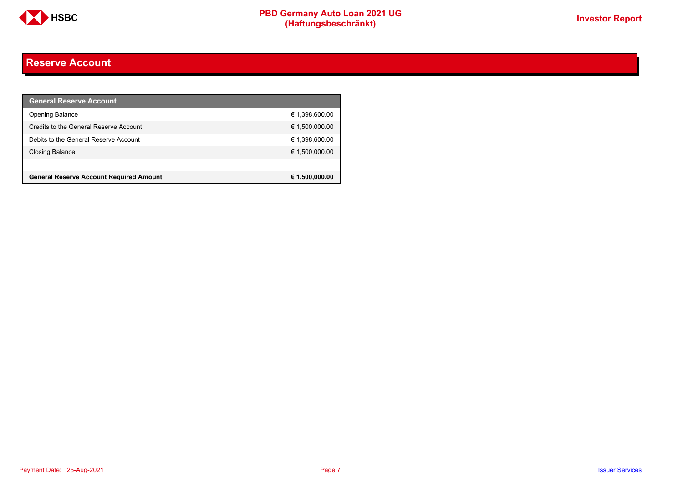

# <span id="page-6-0"></span>**Reserve Account**

| <b>General Reserve Account</b>                 |                |
|------------------------------------------------|----------------|
| <b>Opening Balance</b>                         | € 1,398,600.00 |
| Credits to the General Reserve Account         | € 1,500,000.00 |
| Debits to the General Reserve Account          | € 1,398,600.00 |
| Closing Balance                                | € 1,500,000.00 |
|                                                |                |
| <b>General Reserve Account Required Amount</b> | € 1,500,000.00 |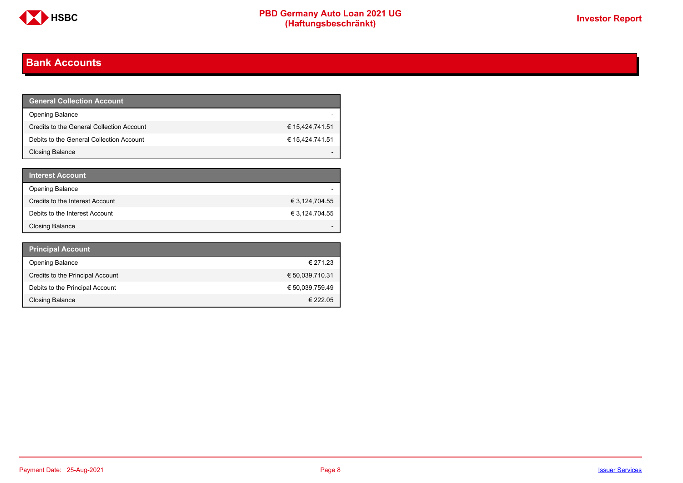

# <span id="page-7-0"></span>**Bank Accounts**

| <b>General Collection Account</b>         |                 |
|-------------------------------------------|-----------------|
| <b>Opening Balance</b>                    |                 |
| Credits to the General Collection Account | € 15,424,741.51 |
| Debits to the General Collection Account  | € 15,424,741.51 |
| Closing Balance                           |                 |

| <b>Interest Account</b>         |                |
|---------------------------------|----------------|
| <b>Opening Balance</b>          |                |
| Credits to the Interest Account | € 3,124,704.55 |
| Debits to the Interest Account  | € 3,124,704.55 |
| Closing Balance                 |                |

| <b>Principal Account</b>         |                 |
|----------------------------------|-----------------|
| <b>Opening Balance</b>           | € 271.23        |
| Credits to the Principal Account | € 50,039,710.31 |
| Debits to the Principal Account  | € 50,039,759.49 |
| Closing Balance                  | € 222.05        |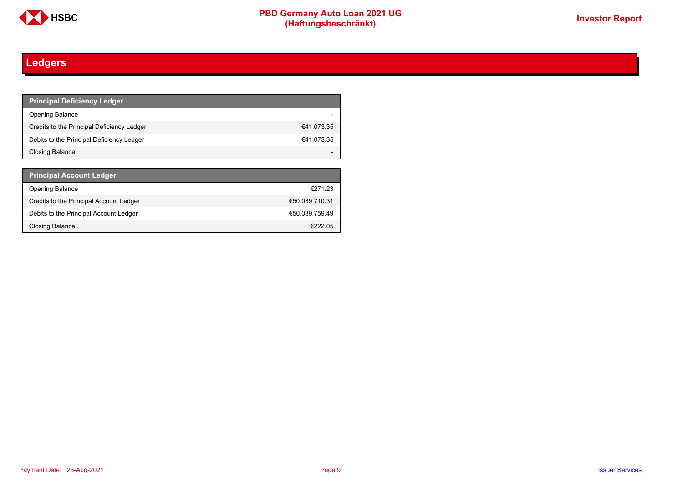

# <span id="page-8-0"></span>**Ledgers**

| <b>Principal Deficiency Ledger</b>         |            |
|--------------------------------------------|------------|
| <b>Opening Balance</b>                     |            |
| Credits to the Principal Deficiency Ledger | €41,073.35 |
| Debits to the Principal Deficiency Ledger  | €41,073.35 |
| Closing Balance                            |            |

| <b>Principal Account Ledger</b>         |                |
|-----------------------------------------|----------------|
| <b>Opening Balance</b>                  | €271.23        |
| Credits to the Principal Account Ledger | €50,039,710.31 |
| Debits to the Principal Account Ledger  | €50.039.759.49 |
| Closing Balance                         | €22205         |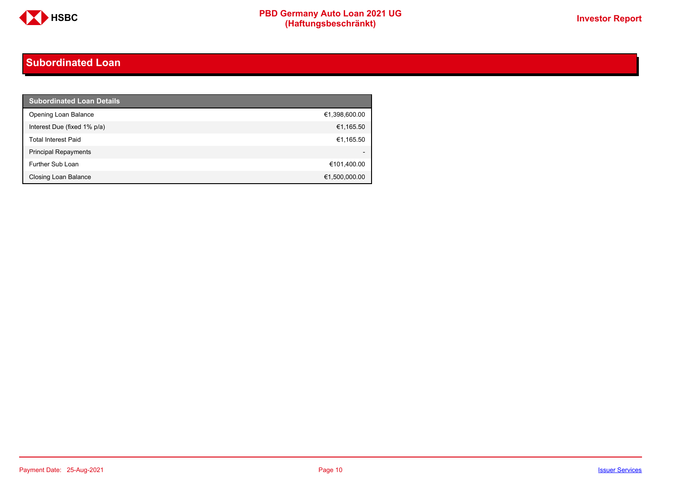

# <span id="page-9-0"></span>**Subordinated Loan**

| <b>Subordinated Loan Details</b> |               |
|----------------------------------|---------------|
| Opening Loan Balance             | €1,398,600.00 |
| Interest Due (fixed 1% p/a)      | €1,165.50     |
| <b>Total Interest Paid</b>       | €1,165.50     |
| <b>Principal Repayments</b>      |               |
| Further Sub Loan                 | €101,400.00   |
| Closing Loan Balance             | €1,500,000.00 |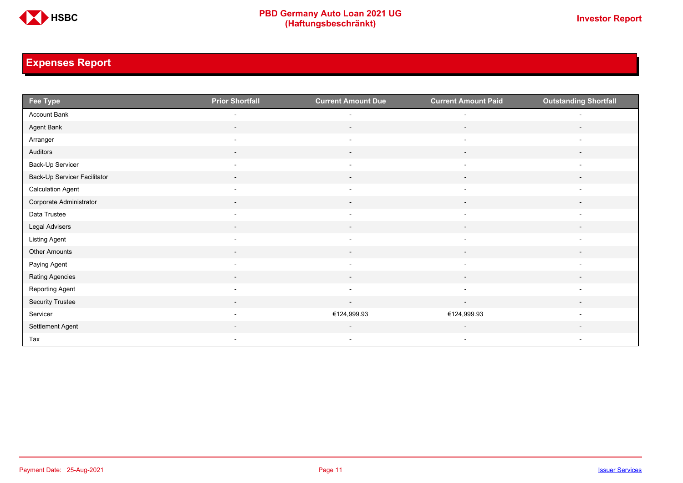

# <span id="page-10-0"></span>**Expenses Report**

| Fee Type                     | <b>Prior Shortfall</b>   | <b>Current Amount Due</b> | <b>Current Amount Paid</b> | <b>Outstanding Shortfall</b> |
|------------------------------|--------------------------|---------------------------|----------------------------|------------------------------|
| Account Bank                 | $\overline{\phantom{a}}$ | $\overline{\phantom{a}}$  | $\overline{\phantom{a}}$   | $\overline{a}$               |
| Agent Bank                   | $\sim$                   | $\sim$                    | $\sim$                     | $\overline{\phantom{a}}$     |
| Arranger                     | $\overline{\phantom{a}}$ | $\overline{\phantom{a}}$  | $\overline{\phantom{a}}$   | $\overline{\phantom{a}}$     |
| Auditors                     | $\sim$                   | $\sim$                    | $\sim$                     | $\overline{\phantom{a}}$     |
| Back-Up Servicer             | $\overline{\phantom{a}}$ | $\overline{\phantom{a}}$  | $\overline{\phantom{a}}$   | $\overline{\phantom{0}}$     |
| Back-Up Servicer Facilitator | $\overline{\phantom{a}}$ | $\overline{\phantom{a}}$  | $\overline{\phantom{a}}$   |                              |
| <b>Calculation Agent</b>     | $\overline{\phantom{a}}$ | $\overline{\phantom{a}}$  | $\overline{\phantom{a}}$   | $\overline{\phantom{a}}$     |
| Corporate Administrator      | $\sim$                   | $\sim$                    | $\sim$                     | $\overline{\phantom{a}}$     |
| Data Trustee                 | $\overline{\phantom{a}}$ | $\overline{\phantom{a}}$  | $\overline{\phantom{a}}$   | $\overline{\phantom{a}}$     |
| Legal Advisers               | $\sim$                   | $\sim$                    | $\sim$                     | $\sim$                       |
| Listing Agent                | $\overline{\phantom{a}}$ | $\overline{\phantom{a}}$  | $\overline{\phantom{a}}$   | $\overline{\phantom{0}}$     |
| Other Amounts                | $\overline{\phantom{a}}$ | $\overline{\phantom{a}}$  | $\overline{\phantom{a}}$   |                              |
| Paying Agent                 | $\overline{\phantom{a}}$ | $\overline{\phantom{a}}$  | $\overline{\phantom{a}}$   | $\overline{\phantom{a}}$     |
| Rating Agencies              | $\sim$                   | $\sim$                    | $\sim$                     | $\overline{\phantom{a}}$     |
| Reporting Agent              | $\overline{\phantom{a}}$ | $\overline{\phantom{a}}$  | $\overline{\phantom{a}}$   | $\overline{\phantom{a}}$     |
| Security Trustee             | $\sim$                   | $\sim$                    | $\sim$                     | $\overline{\phantom{a}}$     |
| Servicer                     | $\overline{\phantom{a}}$ | €124,999.93               | €124,999.93                | $\overline{a}$               |
| Settlement Agent             |                          | $\overline{\phantom{a}}$  | $\overline{\phantom{a}}$   |                              |
| Tax                          | $\overline{\phantom{a}}$ | $\overline{\phantom{a}}$  | $\overline{\phantom{a}}$   | $\overline{\phantom{a}}$     |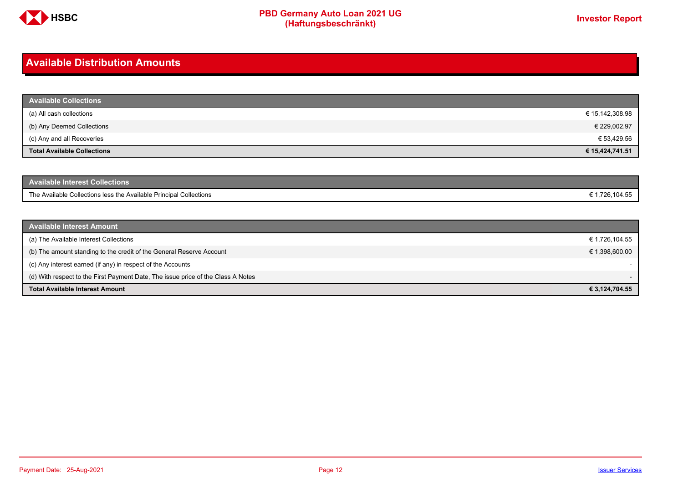

# <span id="page-11-0"></span>**Available Distribution Amounts**

| <b>Available Collections</b>       |                 |
|------------------------------------|-----------------|
| (a) All cash collections           | € 15,142,308.98 |
| (b) Any Deemed Collections         | € 229,002.97    |
| (c) Any and all Recoveries         | € 53,429.56     |
| <b>Total Available Collections</b> | € 15,424,741.51 |

| <b>Available Interest Collections</b>                              |             |
|--------------------------------------------------------------------|-------------|
| The Available Collections less the Available Principal Collections | .726,104.55 |

| <b>Available Interest Amount</b>                                                 |                |
|----------------------------------------------------------------------------------|----------------|
| (a) The Available Interest Collections                                           | € 1,726,104.55 |
| (b) The amount standing to the credit of the General Reserve Account             | € 1,398,600.00 |
| (c) Any interest earned (if any) in respect of the Accounts                      |                |
| (d) With respect to the First Payment Date, The issue price of the Class A Notes |                |
| <b>Total Available Interest Amount</b>                                           | € 3,124,704.55 |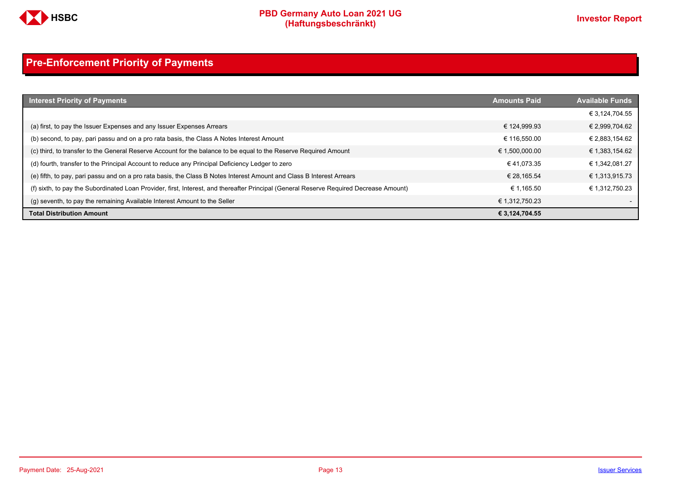

# <span id="page-12-0"></span>**Pre-Enforcement Priority of Payments**

| <b>Interest Priority of Payments</b>                                                                                                   | <b>Amounts Paid</b> | <b>Available Funds</b> |
|----------------------------------------------------------------------------------------------------------------------------------------|---------------------|------------------------|
|                                                                                                                                        |                     | € 3.124.704.55         |
| (a) first, to pay the Issuer Expenses and any Issuer Expenses Arrears                                                                  | € 124.999.93        | € 2,999,704.62         |
| (b) second, to pay, pari passu and on a pro rata basis, the Class A Notes Interest Amount                                              | € 116.550.00        | € 2,883,154.62         |
| (c) third, to transfer to the General Reserve Account for the balance to be equal to the Reserve Required Amount                       | € 1,500,000.00      | € 1,383,154.62         |
| (d) fourth, transfer to the Principal Account to reduce any Principal Deficiency Ledger to zero                                        | €41.073.35          | € 1,342,081.27         |
| (e) fifth, to pay, pari passu and on a pro rata basis, the Class B Notes Interest Amount and Class B Interest Arrears                  | € 28.165.54         | € 1,313,915.73         |
| (f) sixth, to pay the Subordinated Loan Provider, first, Interest, and thereafter Principal (General Reserve Required Decrease Amount) | € 1.165.50          | € 1.312.750.23         |
| (g) seventh, to pay the remaining Available Interest Amount to the Seller                                                              | € 1,312,750.23      |                        |
| <b>Total Distribution Amount</b>                                                                                                       | € 3,124,704.55      |                        |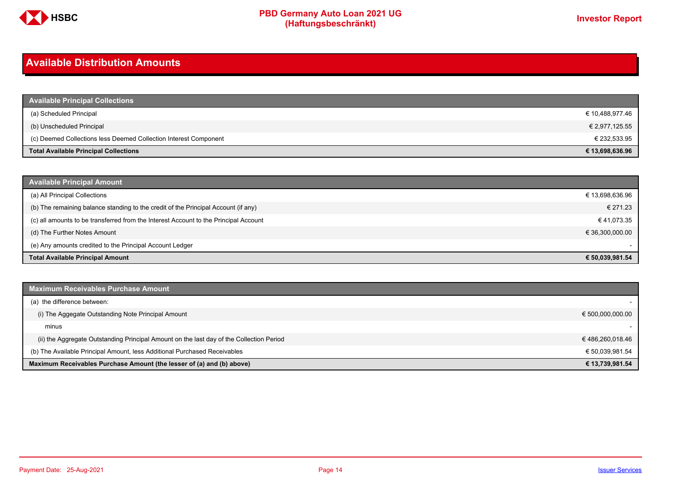

# <span id="page-13-0"></span>**Available Distribution Amounts**

| <b>Available Principal Collections</b>                           |                 |
|------------------------------------------------------------------|-----------------|
| (a) Scheduled Principal                                          | € 10,488,977.46 |
| (b) Unscheduled Principal                                        | € 2,977,125.55  |
| (c) Deemed Collections less Deemed Collection Interest Component | € 232,533.95    |
| <b>Total Available Principal Collections</b>                     | € 13,698,636.96 |

| <b>Available Principal Amount</b>                                                    |                 |
|--------------------------------------------------------------------------------------|-----------------|
| (a) All Principal Collections                                                        | € 13,698,636.96 |
| (b) The remaining balance standing to the credit of the Principal Account (if any)   | € 271.23        |
| (c) all amounts to be transferred from the Interest Account to the Principal Account | €41,073.35      |
| (d) The Further Notes Amount                                                         | € 36,300,000.00 |
| (e) Any amounts credited to the Principal Account Ledger                             |                 |
| <b>Total Available Principal Amount</b>                                              | € 50.039.981.54 |

| <b>Maximum Receivables Purchase Amount</b>                                               |                  |
|------------------------------------------------------------------------------------------|------------------|
| (a) the difference between:                                                              |                  |
| (i) The Aggegate Outstanding Note Principal Amount                                       | € 500,000,000.00 |
| minus                                                                                    |                  |
| (ii) the Aggregate Outstanding Principal Amount on the last day of the Collection Period | € 486,260,018.46 |
| (b) The Available Principal Amount, less Additional Purchased Receivables                | € 50.039.981.54  |
| Maximum Receivables Purchase Amount (the lesser of (a) and (b) above)                    | € 13,739,981.54  |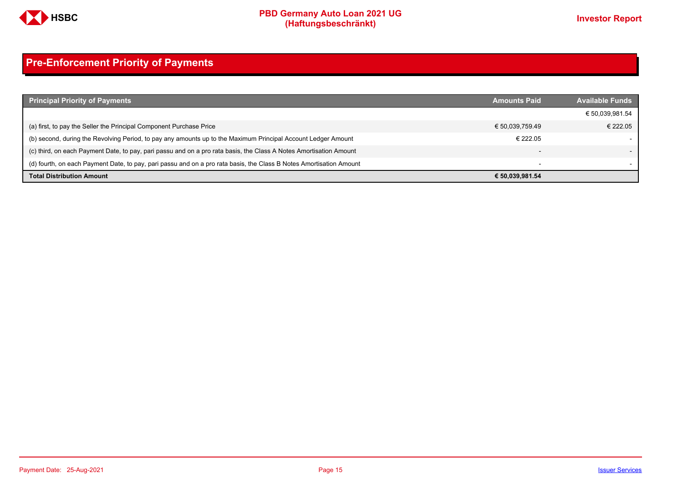

# <span id="page-14-0"></span>**Pre-Enforcement Priority of Payments**

| <b>Principal Priority of Payments</b>                                                                               | <b>Amounts Paid</b>      | <b>Available Funds</b> |
|---------------------------------------------------------------------------------------------------------------------|--------------------------|------------------------|
|                                                                                                                     |                          | € 50,039,981.54        |
| (a) first, to pay the Seller the Principal Component Purchase Price                                                 | € 50,039,759.49          | € 222.05               |
| (b) second, during the Revolving Period, to pay any amounts up to the Maximum Principal Account Ledger Amount       | € 222.05                 |                        |
| (c) third, on each Payment Date, to pay, pari passu and on a pro rata basis, the Class A Notes Amortisation Amount  |                          |                        |
| (d) fourth, on each Payment Date, to pay, pari passu and on a pro rata basis, the Class B Notes Amortisation Amount | $\overline{\phantom{0}}$ |                        |
| <b>Total Distribution Amount</b>                                                                                    | € 50,039,981.54          |                        |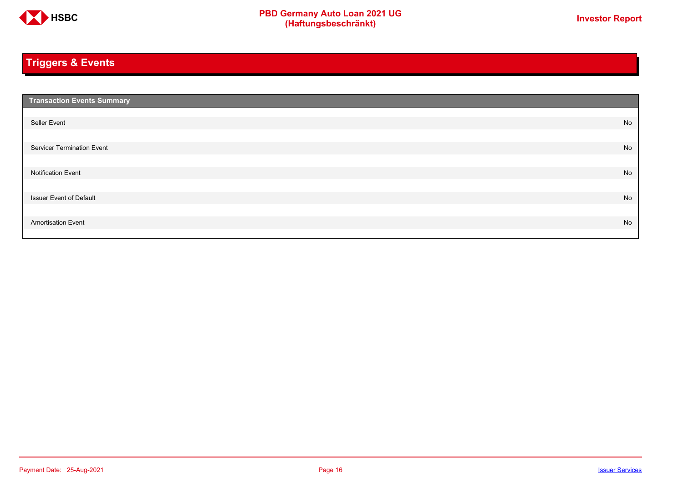

# <span id="page-15-0"></span>**Triggers & Events**

| <b>Transaction Events Summary</b> |    |
|-----------------------------------|----|
|                                   |    |
| Seller Event                      | No |
|                                   |    |
| Servicer Termination Event        | No |
|                                   |    |
| <b>Notification Event</b>         | No |
|                                   |    |
| <b>Issuer Event of Default</b>    | No |
|                                   |    |
| <b>Amortisation Event</b>         | No |
|                                   |    |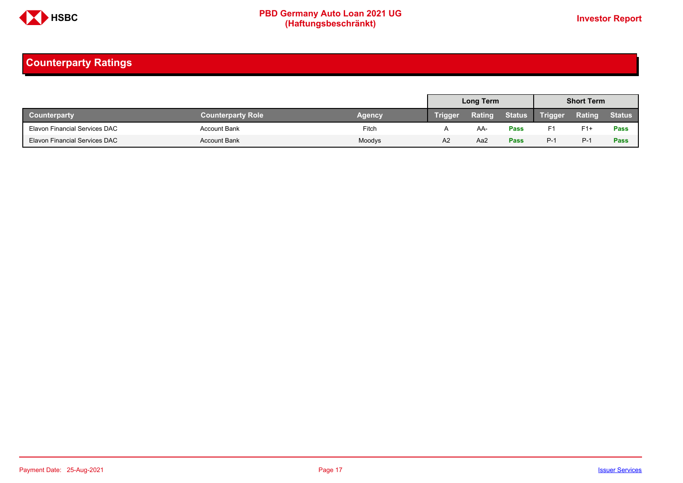

# <span id="page-16-0"></span>**Counterparty Ratings**

|                                      |                          |               |                | Long Term |               |                | <b>Short Term</b> |               |
|--------------------------------------|--------------------------|---------------|----------------|-----------|---------------|----------------|-------------------|---------------|
| <b>Counterparty</b>                  | <b>Counterparty Role</b> | <b>Agency</b> | <b>Trigger</b> | Rating    | <b>Status</b> | <b>Trigger</b> | Rating            | <b>Status</b> |
| Elavon Financial Services DAC        | <b>Account Bank</b>      | Fitch         |                | AA.       | <b>Pass</b>   | F1             | $F1+$             | Pass          |
| <b>Elavon Financial Services DAC</b> | <b>Account Bank</b>      | Moodys        | A <sub>2</sub> | Aa2       | Pass          | $P-1$          | $P-1$             | Pass          |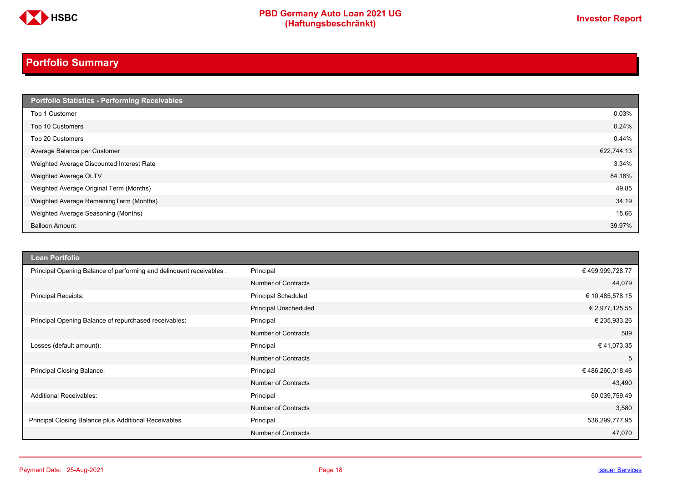

# <span id="page-17-0"></span>**Portfolio Summary**

| Portfolio Statistics - Performing Receivables |            |
|-----------------------------------------------|------------|
| Top 1 Customer                                | 0.03%      |
| Top 10 Customers                              | 0.24%      |
| Top 20 Customers                              | 0.44%      |
| Average Balance per Customer                  | €22,744.13 |
| Weighted Average Discounted Interest Rate     | 3.34%      |
| Weighted Average OLTV                         | 84.18%     |
| Weighted Average Original Term (Months)       | 49.85      |
| Weighted Average RemainingTerm (Months)       | 34.19      |
| Weighted Average Seasoning (Months)           | 15.66      |
| <b>Balloon Amount</b>                         | 39.97%     |

| <b>Loan Portfolio</b>                                                |                            |                  |
|----------------------------------------------------------------------|----------------------------|------------------|
| Principal Opening Balance of performing and delinquent receivables : | Principal                  | € 499,999,728.77 |
|                                                                      | <b>Number of Contracts</b> | 44,079           |
| Principal Receipts:                                                  | <b>Principal Scheduled</b> | € 10,485,578.15  |
|                                                                      | Principal Unscheduled      | € 2,977,125.55   |
| Principal Opening Balance of repurchased receivables:                | Principal                  | € 235,933.26     |
|                                                                      | <b>Number of Contracts</b> | 589              |
| Losses (default amount):                                             | Principal                  | €41,073.35       |
|                                                                      | <b>Number of Contracts</b> | 5                |
| Principal Closing Balance:                                           | Principal                  | €486,260,018.46  |
|                                                                      | <b>Number of Contracts</b> | 43,490           |
| <b>Additional Receivables:</b>                                       | Principal                  | 50,039,759.49    |
|                                                                      | <b>Number of Contracts</b> | 3,580            |
| Principal Closing Balance plus Additional Receivables                | Principal                  | 536,299,777.95   |
|                                                                      | <b>Number of Contracts</b> | 47,070           |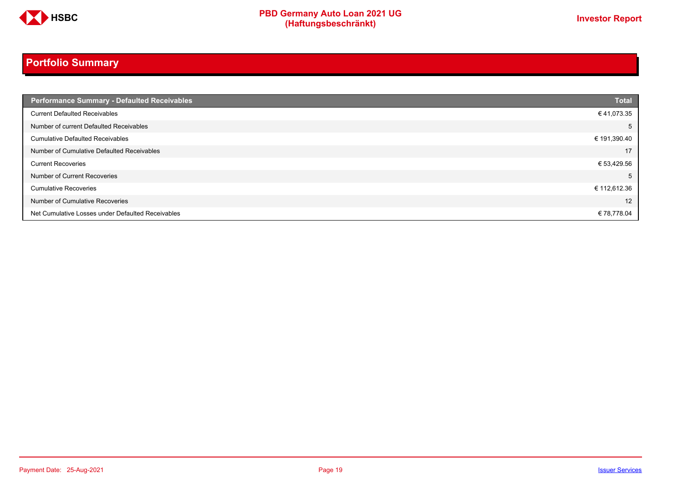

# **Portfolio Summary**

| <b>Performance Summary - Defaulted Receivables</b> | <b>Total</b> |
|----------------------------------------------------|--------------|
| <b>Current Defaulted Receivables</b>               | €41,073.35   |
| Number of current Defaulted Receivables            | 5            |
| <b>Cumulative Defaulted Receivables</b>            | € 191,390.40 |
| Number of Cumulative Defaulted Receivables         | 17           |
| <b>Current Recoveries</b>                          | € 53,429.56  |
| Number of Current Recoveries                       | 5            |
| <b>Cumulative Recoveries</b>                       | € 112,612.36 |
| Number of Cumulative Recoveries                    | 12           |
| Net Cumulative Losses under Defaulted Receivables  | €78,778.04   |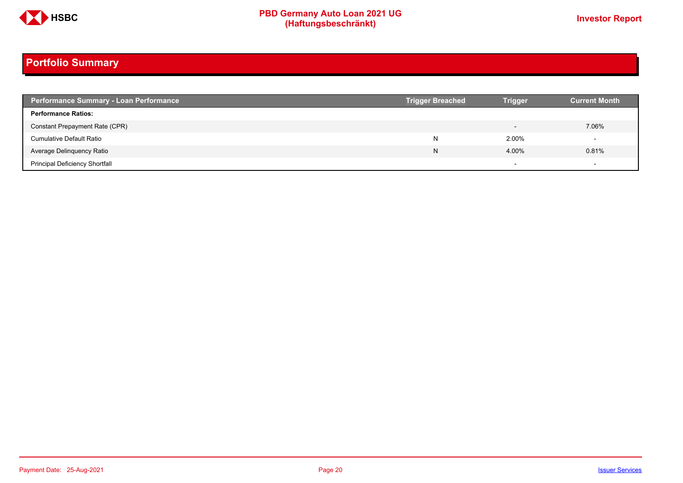

# **Portfolio Summary**

| <b>Performance Summary - Loan Performance</b> | <b>Trigger Breached</b> | <b>Trigger</b>           | <b>Current Month</b> |
|-----------------------------------------------|-------------------------|--------------------------|----------------------|
| <b>Performance Ratios:</b>                    |                         |                          |                      |
| Constant Prepayment Rate (CPR)                |                         | $\overline{\phantom{0}}$ | 7.06%                |
| <b>Cumulative Default Ratio</b>               | N                       | 2.00%                    |                      |
| Average Delinquency Ratio                     | N                       | 4.00%                    | 0.81%                |
| <b>Principal Deficiency Shortfall</b>         |                         | $\overline{\phantom{0}}$ |                      |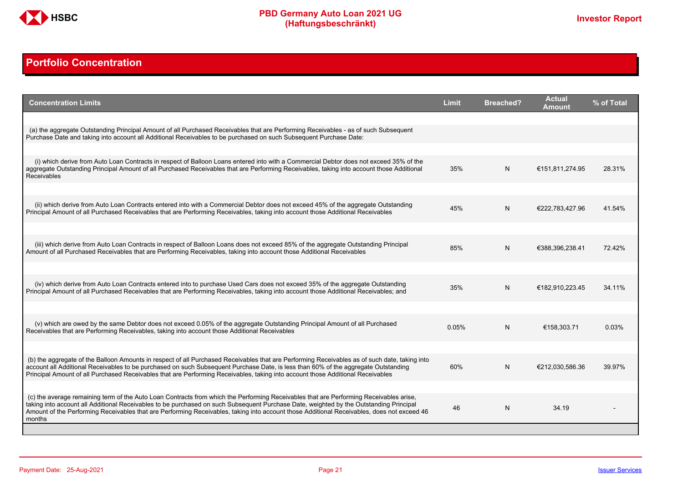

# <span id="page-20-0"></span>**Portfolio Concentration**

| <b>Concentration Limits</b>                                                                                                                                                                                                                                                                                                                                                                                                              | <b>Limit</b> | <b>Breached?</b> | <b>Actual</b><br>Amount | % of Total |
|------------------------------------------------------------------------------------------------------------------------------------------------------------------------------------------------------------------------------------------------------------------------------------------------------------------------------------------------------------------------------------------------------------------------------------------|--------------|------------------|-------------------------|------------|
| (a) the aggregate Outstanding Principal Amount of all Purchased Receivables that are Performing Receivables - as of such Subsequent<br>Purchase Date and taking into account all Additional Receivables to be purchased on such Subsequent Purchase Date:                                                                                                                                                                                |              |                  |                         |            |
| (i) which derive from Auto Loan Contracts in respect of Balloon Loans entered into with a Commercial Debtor does not exceed 35% of the<br>aggregate Outstanding Principal Amount of all Purchased Receivables that are Performing Receivables, taking into account those Additional                                                                                                                                                      | 35%          | N                | €151.811.274.95         | 28.31%     |
| <b>Receivables</b>                                                                                                                                                                                                                                                                                                                                                                                                                       |              |                  |                         |            |
| (ii) which derive from Auto Loan Contracts entered into with a Commercial Debtor does not exceed 45% of the aggregate Outstanding<br>Principal Amount of all Purchased Receivables that are Performing Receivables, taking into account those Additional Receivables                                                                                                                                                                     | 45%          | N                | €222,783,427.96         | 41.54%     |
| (iii) which derive from Auto Loan Contracts in respect of Balloon Loans does not exceed 85% of the aggregate Outstanding Principal<br>Amount of all Purchased Receivables that are Performing Receivables, taking into account those Additional Receivables                                                                                                                                                                              | 85%          | N                | €388,396,238.41         | 72.42%     |
|                                                                                                                                                                                                                                                                                                                                                                                                                                          |              |                  |                         |            |
| (iv) which derive from Auto Loan Contracts entered into to purchase Used Cars does not exceed 35% of the aggregate Outstanding<br>Principal Amount of all Purchased Receivables that are Performing Receivables, taking into account those Additional Receivables; and                                                                                                                                                                   | 35%          | N                | €182,910,223.45         | 34.11%     |
|                                                                                                                                                                                                                                                                                                                                                                                                                                          |              |                  |                         |            |
| (v) which are owed by the same Debtor does not exceed 0.05% of the aggregate Outstanding Principal Amount of all Purchased<br>Receivables that are Performing Receivables, taking into account those Additional Receivables                                                                                                                                                                                                              | 0.05%        | N                | €158,303.71             | 0.03%      |
|                                                                                                                                                                                                                                                                                                                                                                                                                                          |              |                  |                         |            |
| (b) the aggregate of the Balloon Amounts in respect of all Purchased Receivables that are Performing Receivables as of such date, taking into<br>account all Additional Receivables to be purchased on such Subsequent Purchase Date, is less than 60% of the aggregate Outstanding<br>Principal Amount of all Purchased Receivables that are Performing Receivables, taking into account those Additional Receivables                   | 60%          | N                | €212,030,586.36         | 39.97%     |
|                                                                                                                                                                                                                                                                                                                                                                                                                                          |              |                  |                         |            |
| (c) the average remaining term of the Auto Loan Contracts from which the Performing Receivables that are Performing Receivables arise.<br>taking into account all Additional Receivables to be purchased on such Subsequent Purchase Date, weighted by the Outstanding Principal<br>Amount of the Performing Receivables that are Performing Receivables, taking into account those Additional Receivables, does not exceed 46<br>months | 46           | N                | 34.19                   |            |
|                                                                                                                                                                                                                                                                                                                                                                                                                                          |              |                  |                         |            |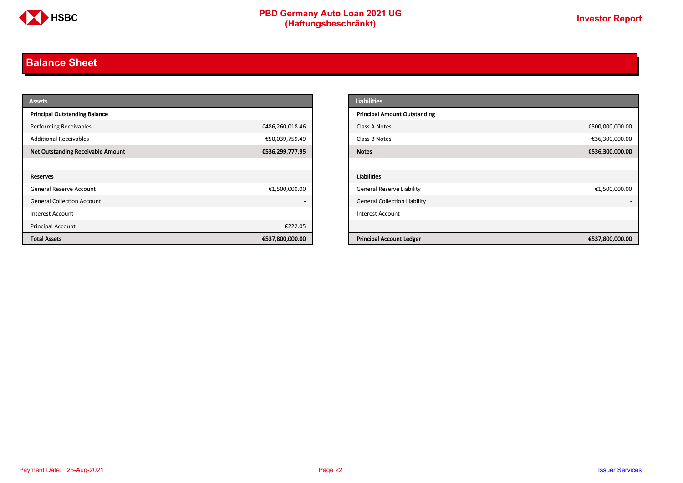

# <span id="page-21-0"></span>**Balance Sheet**

| <b>Assets</b>                            |                          | <b>Liabilities</b>                  |                 |
|------------------------------------------|--------------------------|-------------------------------------|-----------------|
| <b>Principal Outstanding Balance</b>     |                          | <b>Principal Amount Outstanding</b> |                 |
| <b>Performing Receivables</b>            | €486,260,018.46          | Class A Notes                       | €500,000,000.00 |
| <b>Additional Receivables</b>            | €50,039,759.49           | Class B Notes                       | €36,300,000.00  |
| <b>Net Outstanding Receivable Amount</b> | €536,299,777.95          | <b>Notes</b>                        | €536,300,000.00 |
|                                          |                          |                                     |                 |
| Reserves                                 |                          | Liabilities                         |                 |
| General Reserve Account                  | €1,500,000.00            | <b>General Reserve Liability</b>    | €1,500,000.00   |
| <b>General Collection Account</b>        | $\overline{\phantom{a}}$ | <b>General Collection Liability</b> |                 |
| Interest Account                         | $\overline{\phantom{a}}$ | Interest Account                    |                 |
| Principal Account                        | €222.05                  |                                     |                 |
| <b>Total Assets</b>                      | €537,800,000.00          | <b>Principal Account Ledger</b>     | €537,800,000.00 |

| <b>Liabilities</b>                  |                 |
|-------------------------------------|-----------------|
| <b>Principal Amount Outstanding</b> |                 |
| Class A Notes                       | €500,000,000.00 |
| Class B Notes                       | €36,300,000.00  |
| <b>Notes</b>                        | €536,300,000.00 |
|                                     |                 |
| <b>Liabilities</b>                  |                 |
| <b>General Reserve Liability</b>    | €1,500,000.00   |
| <b>General Collection Liability</b> | ٠               |
| <b>Interest Account</b>             |                 |
|                                     |                 |
| <b>Principal Account Ledger</b>     | €537,800,000.00 |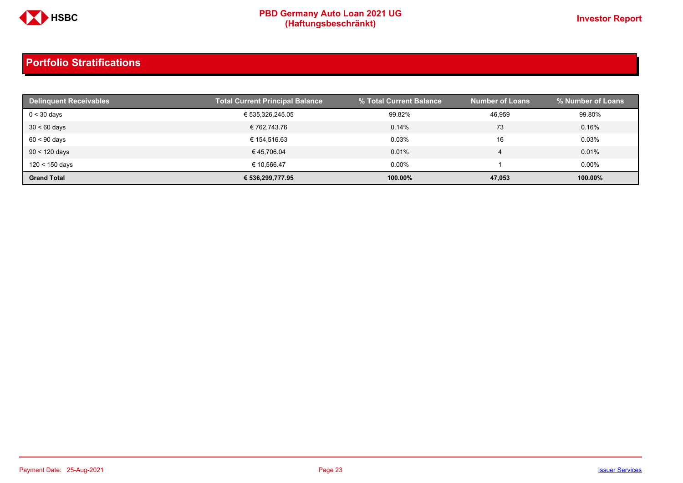

| <b>Delinguent Receivables</b> | <b>Total Current Principal Balance</b> | % Total Current Balance | <b>Number of Loans</b> | % Number of Loans |
|-------------------------------|----------------------------------------|-------------------------|------------------------|-------------------|
| $0 < 30$ days                 | € 535,326,245.05                       | 99.82%                  | 46.959                 | 99.80%            |
| $30 < 60$ days                | € 762.743.76                           | 0.14%                   | 73                     | 0.16%             |
| $60 < 90$ days                | € 154.516.63                           | 0.03%                   | 16                     | 0.03%             |
| $90 < 120$ days               | €45,706.04                             | 0.01%                   |                        | 0.01%             |
| 120 < 150 days                | € 10.566.47                            | $0.00\%$                |                        | $0.00\%$          |
| <b>Grand Total</b>            | € 536,299,777.95                       | 100.00%                 | 47,053                 | 100.00%           |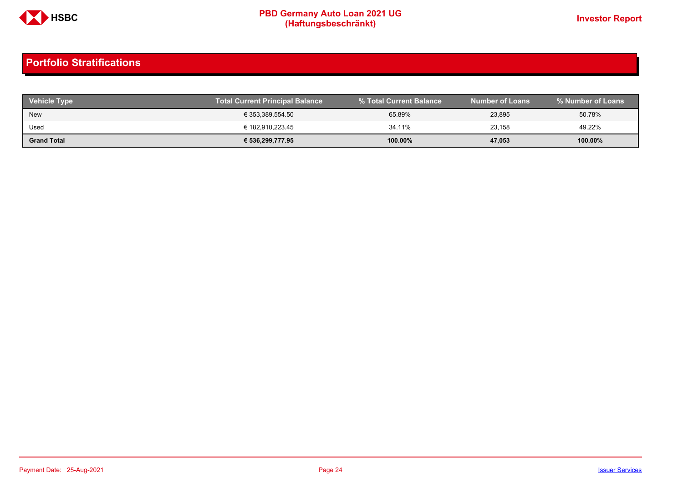

| <b>Vehicle Type</b> | Total Current Principal Balance | % Total Current Balance | <b>Number of Loans</b> | % Number of Loans |
|---------------------|---------------------------------|-------------------------|------------------------|-------------------|
| <b>New</b>          | € 353,389,554.50                | 65.89%                  | 23,895                 | 50.78%            |
| Used                | € 182,910,223.45                | 34.11%                  | 23.158                 | 49.22%            |
| <b>Grand Total</b>  | € 536,299,777.95                | $100.00\%$              | 47,053                 | 100.00%           |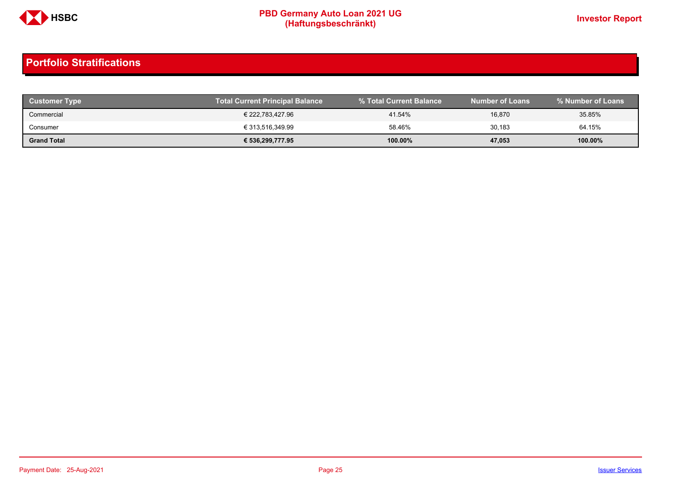

| <b>Customer Type</b> | <b>Total Current Principal Balance</b> |         | Number of Loans \ | % Number of Loans |
|----------------------|----------------------------------------|---------|-------------------|-------------------|
| Commercial           | € 222.783.427.96                       | 41.54%  | 16,870            | 35.85%            |
| Consumer             | € 313,516,349.99                       | 58.46%  | 30,183            | 64.15%            |
| <b>Grand Total</b>   | € 536,299,777.95                       | 100.00% | 47,053            | 100.00%           |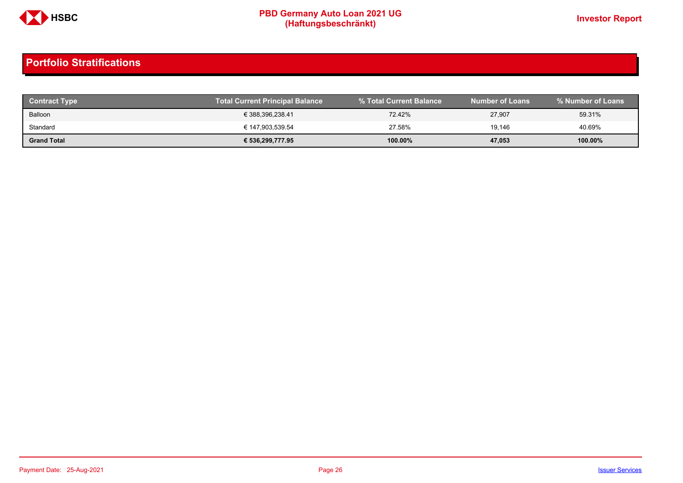

| <b>Contract Type</b> | <b>Total Current Principal Balance</b> |            | <b>Number of Loans</b> | % Number of Loans |
|----------------------|----------------------------------------|------------|------------------------|-------------------|
| Balloon              | € 388,396,238.41                       | 72.42%     | 27,907                 | 59.31%            |
| Standard             | € 147,903,539.54                       | 27.58%     | 19.146                 | 40.69%            |
| <b>Grand Total</b>   | € 536,299,777.95                       | $100.00\%$ | 47,053                 | 100.00%           |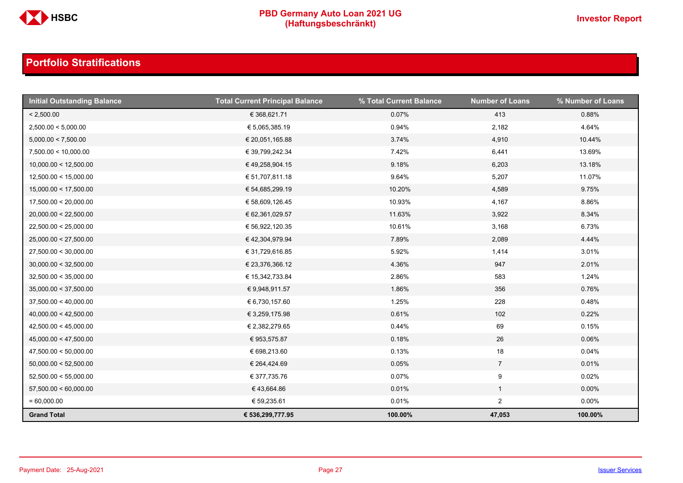

| <b>Initial Outstanding Balance</b> | <b>Total Current Principal Balance</b> | % Total Current Balance | <b>Number of Loans</b> | % Number of Loans |
|------------------------------------|----------------------------------------|-------------------------|------------------------|-------------------|
| < 2,500.00                         | € 368,621.71                           | 0.07%                   | 413                    | 0.88%             |
| 2,500.00 < 5,000.00                | € 5,065,385.19                         | 0.94%                   | 2,182                  | 4.64%             |
| 5,000.00 < 7,500.00                | € 20,051,165.88                        | 3.74%                   | 4,910                  | 10.44%            |
| 7,500.00 < 10,000.00               | € 39,799,242.34                        | 7.42%                   | 6,441                  | 13.69%            |
| 10,000.00 < 12,500.00              | €49,258,904.15                         | 9.18%                   | 6,203                  | 13.18%            |
| 12,500.00 < 15,000.00              | € 51,707,811.18                        | 9.64%                   | 5,207                  | 11.07%            |
| 15,000.00 < 17,500.00              | € 54,685,299.19                        | 10.20%                  | 4,589                  | 9.75%             |
| 17,500.00 < 20,000.00              | € 58,609,126.45                        | 10.93%                  | 4,167                  | 8.86%             |
| 20,000.00 < 22,500.00              | € 62,361,029.57                        | 11.63%                  | 3,922                  | 8.34%             |
| 22,500.00 < 25,000.00              | € 56,922,120.35                        | 10.61%                  | 3,168                  | 6.73%             |
| 25,000.00 < 27,500.00              | € 42,304,979.94                        | 7.89%                   | 2,089                  | 4.44%             |
| 27,500.00 < 30,000.00              | € 31,729,616.85                        | 5.92%                   | 1,414                  | 3.01%             |
| 30,000.00 < 32,500.00              | € 23,376,366.12                        | 4.36%                   | 947                    | 2.01%             |
| 32,500.00 < 35,000.00              | € 15,342,733.84                        | 2.86%                   | 583                    | 1.24%             |
| 35,000.00 < 37,500.00              | € 9,948,911.57                         | 1.86%                   | 356                    | 0.76%             |
| 37,500.00 < 40,000.00              | € 6,730,157.60                         | 1.25%                   | 228                    | 0.48%             |
| 40,000.00 < 42,500.00              | € 3,259,175.98                         | 0.61%                   | 102                    | 0.22%             |
| 42,500.00 < 45,000.00              | € 2,382,279.65                         | 0.44%                   | 69                     | 0.15%             |
| 45,000.00 < 47,500.00              | € 953,575.87                           | 0.18%                   | 26                     | 0.06%             |
| 47,500.00 < 50,000.00              | € 698,213.60                           | 0.13%                   | 18                     | 0.04%             |
| 50,000.00 < 52,500.00              | € 264,424.69                           | 0.05%                   | $7\overline{ }$        | 0.01%             |
| 52,500.00 < 55,000.00              | € 377,735.76                           | 0.07%                   | 9                      | 0.02%             |
| 57,500.00 < 60,000.00              | €43,664.86                             | 0.01%                   | $\mathbf{1}$           | $0.00\%$          |
| $= 60,000.00$                      | € 59,235.61                            | 0.01%                   | $\overline{2}$         | $0.00\%$          |
| <b>Grand Total</b>                 | € 536,299,777.95                       | 100.00%                 | 47,053                 | 100.00%           |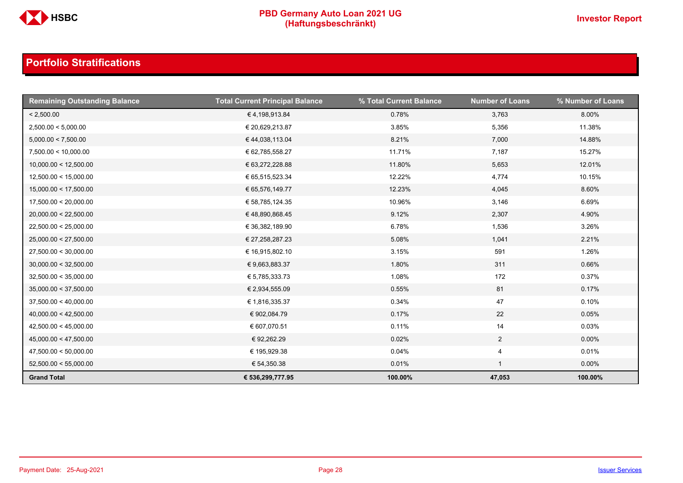

| <b>Remaining Outstanding Balance</b> | <b>Total Current Principal Balance</b> | % Total Current Balance | <b>Number of Loans</b> | % Number of Loans |
|--------------------------------------|----------------------------------------|-------------------------|------------------------|-------------------|
| < 2,500.00                           | €4,198,913.84                          | 0.78%                   | 3,763                  | 8.00%             |
| 2,500.00 < 5,000.00                  | € 20,629,213.87                        | 3.85%                   | 5,356                  | 11.38%            |
| 5,000.00 < 7,500.00                  | € 44,038,113.04                        | 8.21%                   | 7,000                  | 14.88%            |
| 7,500.00 < 10,000.00                 | € 62,785,558.27                        | 11.71%                  | 7,187                  | 15.27%            |
| 10,000.00 < 12,500.00                | € 63,272,228.88                        | 11.80%                  | 5,653                  | 12.01%            |
| 12,500.00 < 15,000.00                | € 65,515,523.34                        | 12.22%                  | 4,774                  | 10.15%            |
| 15,000.00 < 17,500.00                | € 65,576,149.77                        | 12.23%                  | 4,045                  | 8.60%             |
| 17,500.00 < 20,000.00                | € 58,785,124.35                        | 10.96%                  | 3,146                  | 6.69%             |
| 20,000.00 < 22,500.00                | €48,890,868.45                         | 9.12%                   | 2,307                  | 4.90%             |
| 22,500.00 < 25,000.00                | € 36,382,189.90                        | 6.78%                   | 1,536                  | 3.26%             |
| 25,000.00 < 27,500.00                | € 27,258,287.23                        | 5.08%                   | 1,041                  | 2.21%             |
| 27,500.00 < 30,000.00                | € 16,915,802.10                        | 3.15%                   | 591                    | 1.26%             |
| 30,000.00 < 32,500.00                | € 9,663,883.37                         | 1.80%                   | 311                    | 0.66%             |
| 32,500.00 < 35,000.00                | € 5,785,333.73                         | 1.08%                   | 172                    | 0.37%             |
| 35,000.00 < 37,500.00                | € 2,934,555.09                         | 0.55%                   | 81                     | 0.17%             |
| 37,500.00 < 40,000.00                | € 1,816,335.37                         | 0.34%                   | 47                     | 0.10%             |
| 40,000.00 < 42,500.00                | € 902,084.79                           | 0.17%                   | 22                     | 0.05%             |
| 42,500.00 < 45,000.00                | € 607,070.51                           | 0.11%                   | 14                     | 0.03%             |
| 45,000.00 < 47,500.00                | € 92,262.29                            | 0.02%                   | $\overline{2}$         | $0.00\%$          |
| 47,500.00 < 50,000.00                | € 195,929.38                           | 0.04%                   | 4                      | 0.01%             |
| 52,500.00 < 55,000.00                | € 54,350.38                            | 0.01%                   | $\mathbf{1}$           | $0.00\%$          |
| <b>Grand Total</b>                   | € 536,299,777.95                       | 100.00%                 | 47,053                 | 100.00%           |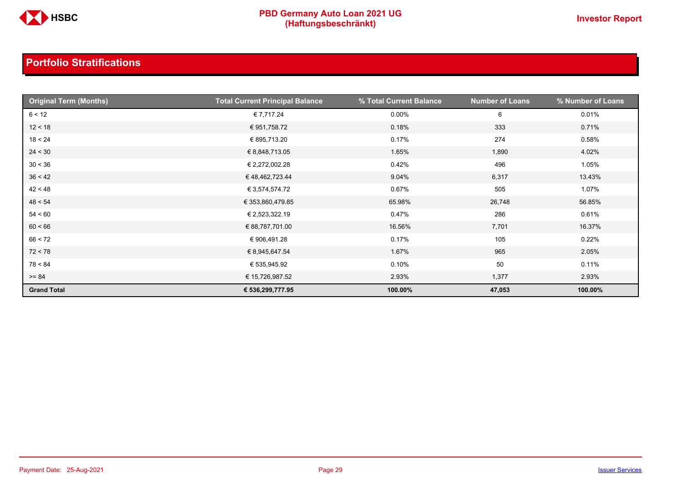

| <b>Original Term (Months)</b> | <b>Total Current Principal Balance</b> | % Total Current Balance | <b>Number of Loans</b> | % Number of Loans |
|-------------------------------|----------------------------------------|-------------------------|------------------------|-------------------|
| 6 < 12                        | € 7,717.24                             | $0.00\%$                | 6                      | 0.01%             |
| 12 < 18                       | € 951,758.72                           | 0.18%                   | 333                    | 0.71%             |
| 18 < 24                       | € 895,713.20                           | 0.17%                   | 274                    | 0.58%             |
| 24 < 30                       | € 8,848,713.05                         | 1.65%                   | 1,890                  | 4.02%             |
| 30 < 36                       | € 2,272,002.28                         | 0.42%                   | 496                    | 1.05%             |
| 36 < 42                       | €48,462,723.44                         | 9.04%                   | 6,317                  | 13.43%            |
| 42 < 48                       | € 3,574,574.72                         | 0.67%                   | 505                    | 1.07%             |
| 48 < 54                       | € 353,860,479.85                       | 65.98%                  | 26,748                 | 56.85%            |
| 54 < 60                       | € 2,523,322.19                         | 0.47%                   | 286                    | 0.61%             |
| 60 < 66                       | € 88,787,701.00                        | 16.56%                  | 7,701                  | 16.37%            |
| 66 < 72                       | € 906,491.28                           | 0.17%                   | 105                    | 0.22%             |
| 72 < 78                       | € 8,945,647.54                         | 1.67%                   | 965                    | 2.05%             |
| 78 < 84                       | € 535,945.92                           | 0.10%                   | 50                     | 0.11%             |
| $>= 84$                       | € 15,726,987.52                        | 2.93%                   | 1,377                  | 2.93%             |
| <b>Grand Total</b>            | € 536,299,777.95                       | 100.00%                 | 47,053                 | 100.00%           |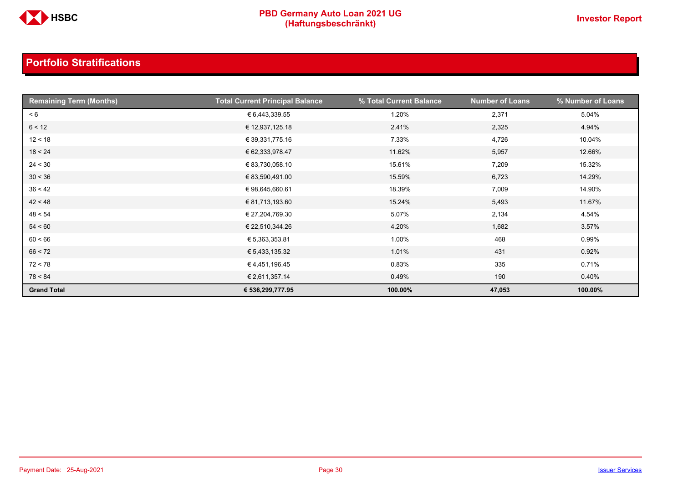

| <b>Remaining Term (Months)</b> | <b>Total Current Principal Balance</b> | % Total Current Balance | <b>Number of Loans</b> | % Number of Loans |
|--------------------------------|----------------------------------------|-------------------------|------------------------|-------------------|
| < 6                            | € 6,443,339.55                         | 1.20%                   | 2,371                  | 5.04%             |
| 6 < 12                         | € 12,937,125.18                        | 2.41%                   | 2,325                  | 4.94%             |
| 12 < 18                        | € 39,331,775.16                        | 7.33%                   | 4,726                  | 10.04%            |
| 18 < 24                        | € 62,333,978.47                        | 11.62%                  | 5,957                  | 12.66%            |
| 24 < 30                        | € 83,730,058.10                        | 15.61%                  | 7,209                  | 15.32%            |
| 30 < 36                        | € 83,590,491.00                        | 15.59%                  | 6,723                  | 14.29%            |
| 36 < 42                        | € 98,645,660.61                        | 18.39%                  | 7,009                  | 14.90%            |
| 42 < 48                        | € 81,713,193.60                        | 15.24%                  | 5,493                  | 11.67%            |
| 48 < 54                        | € 27,204,769.30                        | 5.07%                   | 2,134                  | 4.54%             |
| 54 < 60                        | € 22,510,344.26                        | 4.20%                   | 1,682                  | 3.57%             |
| 60 < 66                        | € 5,363,353.81                         | 1.00%                   | 468                    | 0.99%             |
| 66 < 72                        | € 5,433,135.32                         | 1.01%                   | 431                    | 0.92%             |
| 72 < 78                        | € 4,451,196.45                         | 0.83%                   | 335                    | 0.71%             |
| 78 < 84                        | € 2,611,357.14                         | 0.49%                   | 190                    | 0.40%             |
| <b>Grand Total</b>             | € 536,299,777.95                       | 100.00%                 | 47,053                 | 100.00%           |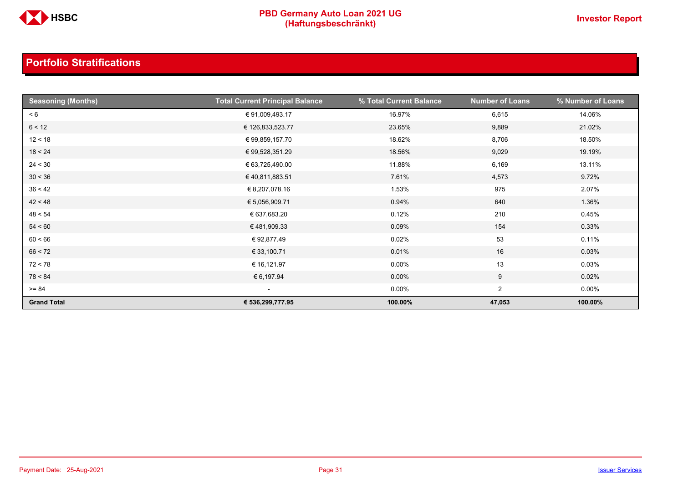

| <b>Seasoning (Months)</b> | <b>Total Current Principal Balance</b> | % Total Current Balance | <b>Number of Loans</b> | % Number of Loans |
|---------------------------|----------------------------------------|-------------------------|------------------------|-------------------|
| < 6                       | € 91,009,493.17                        | 16.97%                  | 6,615                  | 14.06%            |
| 6 < 12                    | € 126,833,523.77                       | 23.65%                  | 9,889                  | 21.02%            |
| 12 < 18                   | € 99,859,157.70                        | 18.62%                  | 8,706                  | 18.50%            |
| 18 < 24                   | € 99,528,351.29                        | 18.56%                  | 9,029                  | 19.19%            |
| 24 < 30                   | € 63,725,490.00                        | 11.88%                  | 6,169                  | 13.11%            |
| 30 < 36                   | €40,811,883.51                         | 7.61%                   | 4,573                  | 9.72%             |
| 36 < 42                   | € 8,207,078.16                         | 1.53%                   | 975                    | 2.07%             |
| 42 < 48                   | € 5,056,909.71                         | 0.94%                   | 640                    | 1.36%             |
| 48 < 54                   | € 637,683.20                           | 0.12%                   | 210                    | 0.45%             |
| 54 < 60                   | € 481,909.33                           | 0.09%                   | 154                    | 0.33%             |
| 60 < 66                   | €92,877.49                             | 0.02%                   | 53                     | 0.11%             |
| 66 < 72                   | € 33,100.71                            | 0.01%                   | 16                     | 0.03%             |
| 72 < 78                   | € 16,121.97                            | $0.00\%$                | 13                     | 0.03%             |
| 78 < 84                   | € 6,197.94                             | $0.00\%$                | 9                      | 0.02%             |
| $>= 84$                   | $\sim$                                 | $0.00\%$                | $\overline{2}$         | $0.00\%$          |
| <b>Grand Total</b>        | € 536,299,777.95                       | 100.00%                 | 47,053                 | 100.00%           |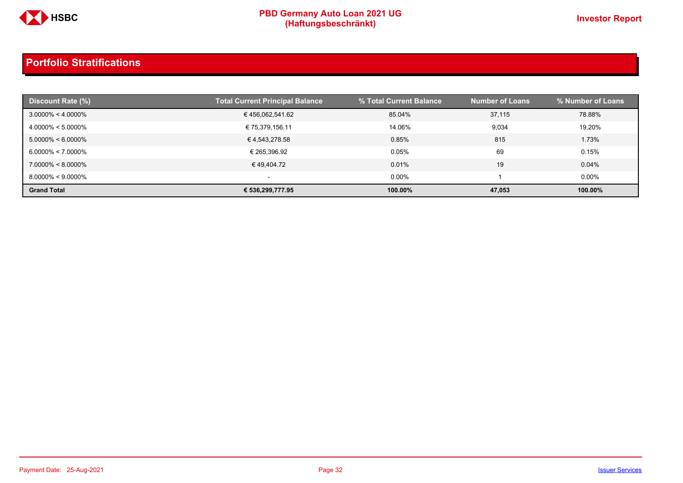

| <b>Discount Rate (%)</b> | <b>Total Current Principal Balance</b> | % Total Current Balance | <b>Number of Loans</b> | % Number of Loans |
|--------------------------|----------------------------------------|-------------------------|------------------------|-------------------|
| $3.0000\% < 4.0000\%$    | € 456,062,541.62                       | 85.04%                  | 37,115                 | 78.88%            |
| $4.0000\% < 5.0000\%$    | € 75,379,156.11                        | 14.06%                  | 9,034                  | 19.20%            |
| $5.0000\% < 6.0000\%$    | € 4,543,278.58                         | 0.85%                   | 815                    | 1.73%             |
| $6.0000\% < 7.0000\%$    | € 265.396.92                           | $0.05\%$                | 69                     | 0.15%             |
| $7.0000\% < 8.0000\%$    | € 49,404.72                            | 0.01%                   | 19                     | 0.04%             |
| $8.0000\% < 9.0000\%$    | $\overline{\phantom{0}}$               | $0.00\%$                |                        | $0.00\%$          |
| <b>Grand Total</b>       | € 536,299,777.95                       | 100.00%                 | 47,053                 | 100.00%           |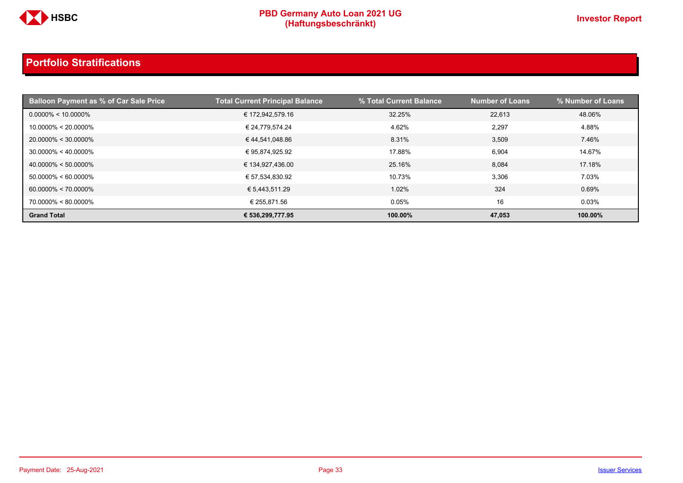

| <b>Balloon Payment as % of Car Sale Price</b> | <b>Total Current Principal Balance</b> | % Total Current Balance | Number of Loans <b>\</b> | % Number of Loans |
|-----------------------------------------------|----------------------------------------|-------------------------|--------------------------|-------------------|
| $0.0000\% < 10.0000\%$                        | € 172,942,579.16                       | 32.25%                  | 22,613                   | 48.06%            |
| $10.0000\% < 20.0000\%$                       | € 24,779,574.24                        | 4.62%                   | 2,297                    | 4.88%             |
| 20.0000% < 30.0000%                           | €44,541,048.86                         | 8.31%                   | 3,509                    | 7.46%             |
| $30.0000\% < 40.0000\%$                       | € 95,874,925.92                        | 17.88%                  | 6.904                    | 14.67%            |
| $40.0000\% < 50.0000\%$                       | € 134,927,436.00                       | 25.16%                  | 8,084                    | 17.18%            |
| $50.0000\% < 60.0000\%$                       | € 57,534,830.92                        | 10.73%                  | 3,306                    | 7.03%             |
| $60.0000\% < 70.0000\%$                       | € 5,443,511.29                         | 1.02%                   | 324                      | 0.69%             |
| 70.0000% < 80.0000%                           | € 255.871.56                           | 0.05%                   | 16                       | 0.03%             |
| <b>Grand Total</b>                            | € 536,299,777.95                       | 100.00%                 | 47,053                   | 100.00%           |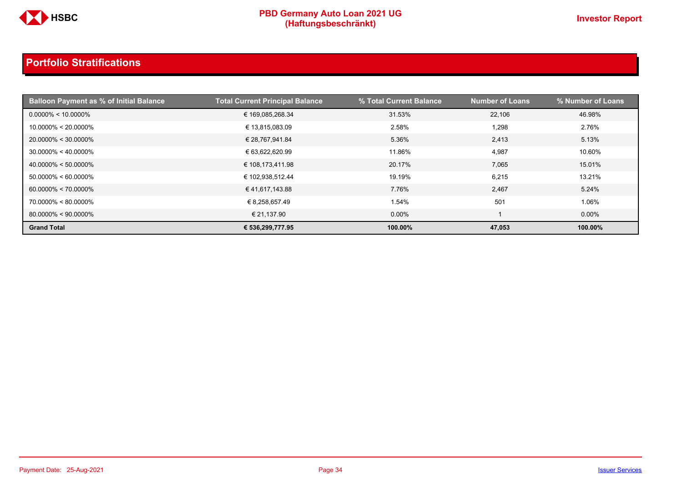

| <b>Balloon Payment as % of Initial Balance</b> | <b>Total Current Principal Balance</b> | % Total Current Balance | <b>Number of Loans</b> | % Number of Loans |
|------------------------------------------------|----------------------------------------|-------------------------|------------------------|-------------------|
| $0.0000\% < 10.0000\%$                         | € 169,085,268.34                       | 31.53%                  | 22,106                 | 46.98%            |
| $10.0000\% < 20.0000\%$                        | € 13,815,083.09                        | 2.58%                   | 1,298                  | 2.76%             |
| 20.0000% < 30.0000%                            | € 28,767,941.84                        | 5.36%                   | 2,413                  | 5.13%             |
| $30.0000\% < 40.0000\%$                        | € 63,622,620.99                        | 11.86%                  | 4,987                  | 10.60%            |
| $40.0000\% < 50.0000\%$                        | € 108,173,411.98                       | 20.17%                  | 7,065                  | 15.01%            |
| $50.0000\% < 60.0000\%$                        | € 102,938,512.44                       | 19.19%                  | 6.215                  | 13.21%            |
| $60.0000\% < 70.0000\%$                        | €41,617,143.88                         | 7.76%                   | 2,467                  | 5.24%             |
| 70.0000% < 80.0000%                            | € 8,258,657.49                         | 1.54%                   | 501                    | 1.06%             |
| $80.0000\% < 90.0000\%$                        | € 21,137.90                            | $0.00\%$                |                        | $0.00\%$          |
| <b>Grand Total</b>                             | € 536,299,777.95                       | 100.00%                 | 47.053                 | 100.00%           |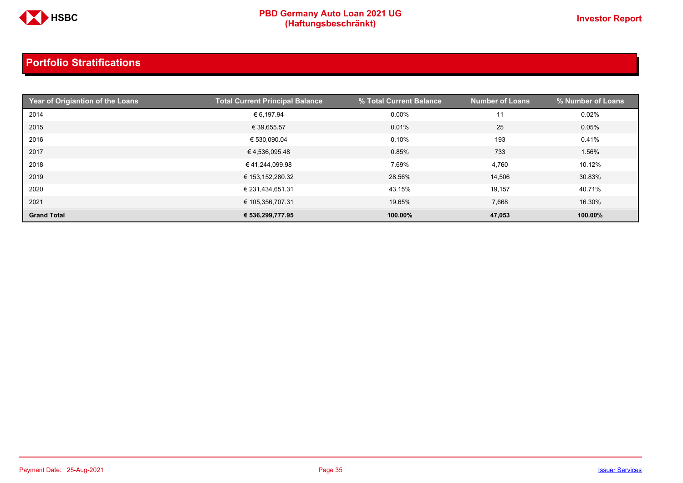

| Year of Origiantion of the Loans | <b>Total Current Principal Balance</b> | % Total Current Balance | <b>Number of Loans</b> | % Number of Loans |
|----------------------------------|----------------------------------------|-------------------------|------------------------|-------------------|
| 2014                             | € 6,197.94                             | $0.00\%$                | 11                     | 0.02%             |
| 2015                             | € 39,655.57                            | 0.01%                   | 25                     | 0.05%             |
| 2016                             | € 530,090.04                           | 0.10%                   | 193                    | 0.41%             |
| 2017                             | €4,536,095.48                          | 0.85%                   | 733                    | 1.56%             |
| 2018                             | € 41,244,099.98                        | 7.69%                   | 4,760                  | 10.12%            |
| 2019                             | € 153,152,280.32                       | 28.56%                  | 14,506                 | 30.83%            |
| 2020                             | € 231,434,651.31                       | 43.15%                  | 19,157                 | 40.71%            |
| 2021                             | € 105,356,707.31                       | 19.65%                  | 7,668                  | 16.30%            |
| <b>Grand Total</b>               | € 536,299,777.95                       | 100.00%                 | 47,053                 | 100.00%           |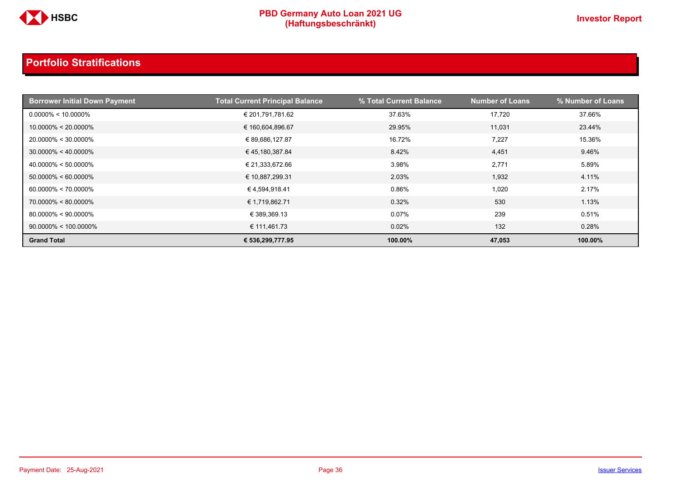

| <b>Borrower Initial Down Payment</b> | <b>Total Current Principal Balance</b> | % Total Current Balance | <b>Number of Loans</b> | % Number of Loans |
|--------------------------------------|----------------------------------------|-------------------------|------------------------|-------------------|
| $0.0000\% < 10.0000\%$               | € 201,791,781.62                       | 37.63%                  | 17,720                 | 37.66%            |
| $10.0000\% < 20.0000\%$              | € 160,604,896.67                       | 29.95%                  | 11.031                 | 23.44%            |
| $20.0000\% < 30.0000\%$              | € 89,686,127.87                        | 16.72%                  | 7,227                  | 15.36%            |
| $30.0000\% < 40.0000\%$              | € 45,180,387.84                        | 8.42%                   | 4,451                  | 9.46%             |
| $40.0000\% < 50.0000\%$              | € 21,333,672.66                        | 3.98%                   | 2,771                  | 5.89%             |
| $50.0000\% < 60.0000\%$              | € 10,887,299.31                        | 2.03%                   | 1,932                  | 4.11%             |
| $60.0000\% < 70.0000\%$              | € 4,594,918.41                         | 0.86%                   | 1,020                  | 2.17%             |
| $70.0000\% < 80.0000\%$              | € 1,719,862.71                         | 0.32%                   | 530                    | 1.13%             |
| $80.0000\% < 90.0000\%$              | € 389,369.13                           | 0.07%                   | 239                    | 0.51%             |
| $90.0000\% < 100.0000\%$             | € 111,461.73                           | 0.02%                   | 132                    | 0.28%             |
| <b>Grand Total</b>                   | € 536,299,777.95                       | 100.00%                 | 47,053                 | 100.00%           |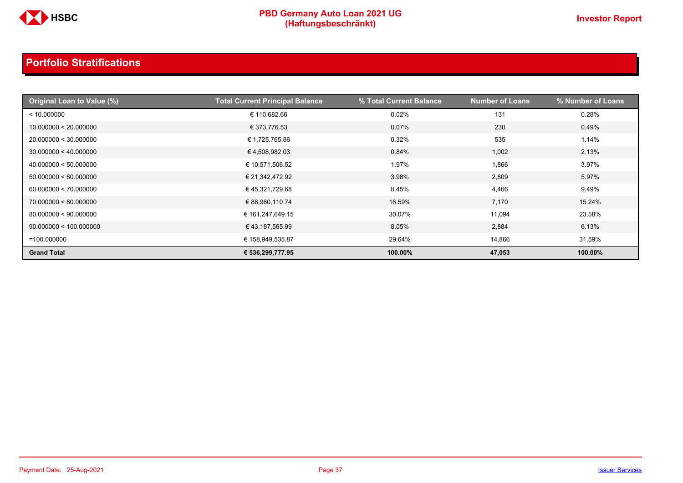

| Original Loan to Value (%) | <b>Total Current Principal Balance</b> | % Total Current Balance | <b>Number of Loans</b> | % Number of Loans |
|----------------------------|----------------------------------------|-------------------------|------------------------|-------------------|
| < 10.000000                | € 110,682.66                           | 0.02%                   | 131                    | 0.28%             |
| 10.000000 < 20.000000      | € 373,776.53                           | $0.07\%$                | 230                    | 0.49%             |
| 20.000000 < 30.000000      | € 1,725,765.86                         | 0.32%                   | 535                    | 1.14%             |
| 30.000000 < 40.000000      | €4,508,982.03                          | 0.84%                   | 1,002                  | 2.13%             |
| 40.000000 < 50.000000      | € 10,571,506.52                        | 1.97%                   | 1,866                  | 3.97%             |
| 50.000000 < 60.000000      | € 21,342,472.92                        | 3.98%                   | 2,809                  | 5.97%             |
| 60.000000 < 70.000000      | € 45,321,729.68                        | 8.45%                   | 4,466                  | 9.49%             |
| 70.000000 < 80.000000      | € 88,960,110.74                        | 16.59%                  | 7,170                  | 15.24%            |
| 80.000000 < 90.000000      | € 161,247,649.15                       | 30.07%                  | 11,094                 | 23.58%            |
| 90.000000 < 100.000000     | € 43,187,565.99                        | 8.05%                   | 2,884                  | 6.13%             |
| $=100.000000$              | € 158,949,535.87                       | 29.64%                  | 14,866                 | 31.59%            |
| <b>Grand Total</b>         | € 536,299,777.95                       | 100.00%                 | 47,053                 | 100.00%           |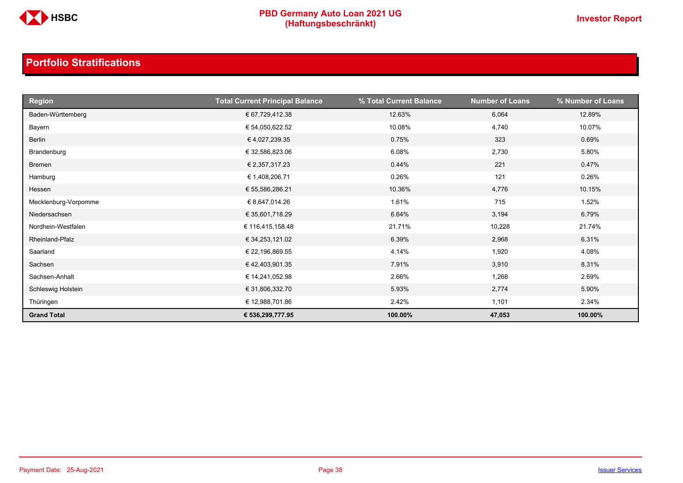

| <b>Region</b>        | <b>Total Current Principal Balance</b> | % Total Current Balance | <b>Number of Loans</b> | % Number of Loans |
|----------------------|----------------------------------------|-------------------------|------------------------|-------------------|
| Baden-Württemberg    | € 67,729,412.38                        | 12.63%                  | 6,064                  | 12.89%            |
| Bayern               | € 54,050,622.52                        | 10.08%                  | 4,740                  | 10.07%            |
| Berlin               | € 4,027,239.35                         | 0.75%                   | 323                    | 0.69%             |
| Brandenburg          | € 32,586,823.06                        | 6.08%                   | 2,730                  | 5.80%             |
| Bremen               | € 2,357,317.23                         | 0.44%                   | 221                    | 0.47%             |
| Hamburg              | € 1,408,206.71                         | 0.26%                   | 121                    | 0.26%             |
| Hessen               | € 55,586,286.21                        | 10.36%                  | 4,776                  | 10.15%            |
| Mecklenburg-Vorpomme | € 8,647,014.26                         | 1.61%                   | 715                    | 1.52%             |
| Niedersachsen        | € 35,601,718.29                        | 6.64%                   | 3,194                  | 6.79%             |
| Nordhein-Westfalen   | € 116,415,158.48                       | 21.71%                  | 10,228                 | 21.74%            |
| Rheinland-Pfalz      | € 34,253,121.02                        | 6.39%                   | 2,968                  | 6.31%             |
| Saarland             | € 22,196,869.55                        | 4.14%                   | 1,920                  | 4.08%             |
| Sachsen              | €42,403,901.35                         | 7.91%                   | 3,910                  | 8.31%             |
| Sachsen-Anhalt       | € 14,241,052.98                        | 2.66%                   | 1,268                  | 2.69%             |
| Schleswig Holstein   | € 31,806,332.70                        | 5.93%                   | 2,774                  | 5.90%             |
| Thüringen            | € 12,988,701.86                        | 2.42%                   | 1,101                  | 2.34%             |
| <b>Grand Total</b>   | € 536,299,777.95                       | 100.00%                 | 47,053                 | 100.00%           |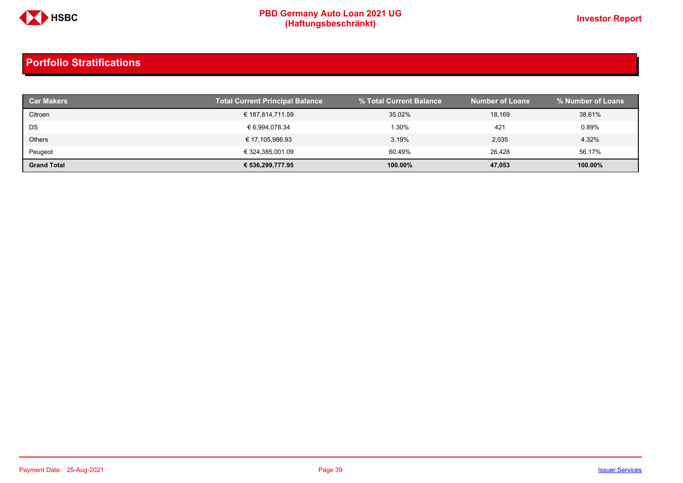

| <b>Car Makers</b>  | <b>Total Current Principal Balance</b> | 1% Total Current Balance | <b>Number of Loans</b> | % Number of Loans |
|--------------------|----------------------------------------|--------------------------|------------------------|-------------------|
| Citroen            | € 187,814,711.59                       | 35.02%                   | 18,169                 | 38.61%            |
| DS                 | € 6,994,078.34                         | 1.30%                    | 421                    | 0.89%             |
| <b>Others</b>      | € 17,105,986.93                        | 3.19%                    | 2,035                  | 4.32%             |
| Peugeot            | € 324,385,001.09                       | 60.49%                   | 26.428                 | 56.17%            |
| <b>Grand Total</b> | € 536,299,777.95                       | 100.00%                  | 47,053                 | 100.00%           |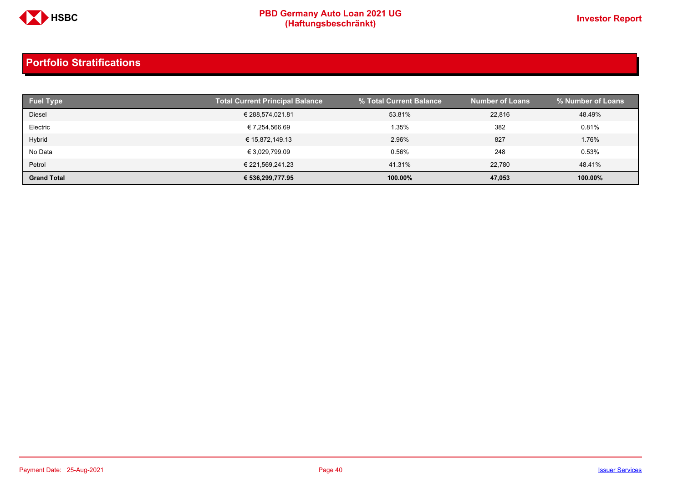

| <b>Fuel Type</b>   | <b>Total Current Principal Balance</b> | % Total Current Balance | <b>Number of Loans</b> | % Number of Loans |
|--------------------|----------------------------------------|-------------------------|------------------------|-------------------|
| <b>Diesel</b>      | € 288,574,021.81                       | 53.81%                  | 22,816                 | 48.49%            |
| Electric           | € 7,254,566.69                         | 1.35%                   | 382                    | 0.81%             |
| Hybrid             | € 15,872,149.13                        | 2.96%                   | 827                    | 1.76%             |
| No Data            | € 3,029,799.09                         | 0.56%                   | 248                    | 0.53%             |
| Petrol             | € 221,569,241.23                       | 41.31%                  | 22.780                 | 48.41%            |
| <b>Grand Total</b> | € 536,299,777.95                       | 100.00%                 | 47,053                 | 100.00%           |